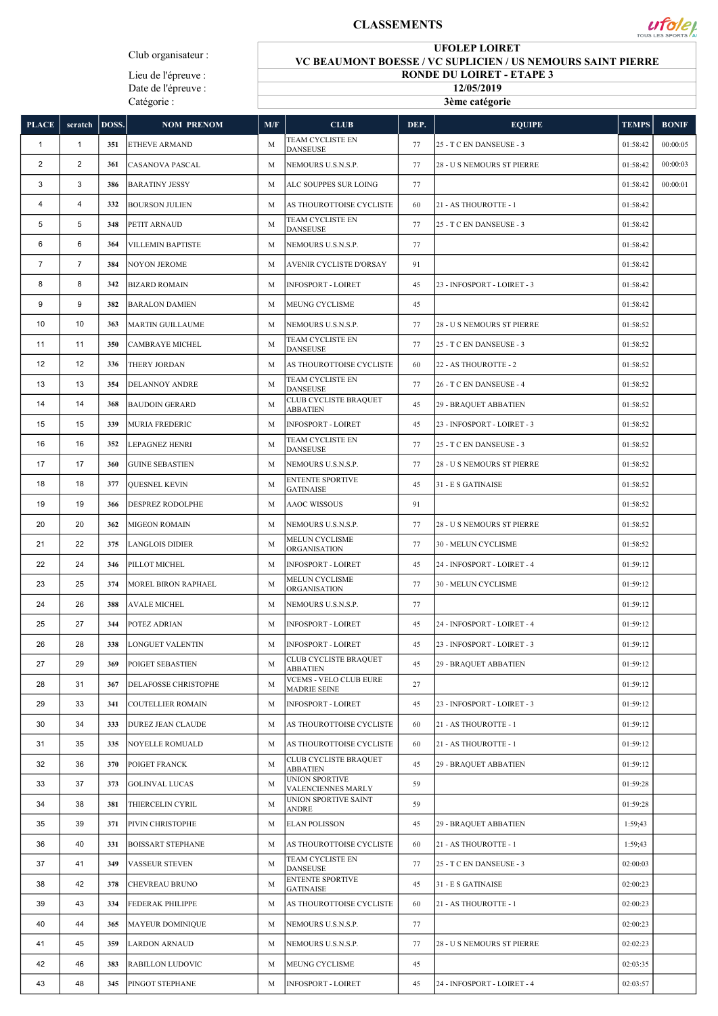## CLASSEMENTS



Club organisateur :

Lieu de l'épreuve : Date de l'épreuve : Catégorie :

UFOLEP LOIRET VC BEAUMONT BOESSE / VC SUPLICIEN / US NEMOURS SAINT PIERRE

> RONDE DU LOIRET - ETAPE 3 12/05/2019

3ème catégorie

| <b>PLACE</b>   | scratch                 | DOSS. | <b>NOM PRENOM</b>           | M/F | <b>CLUB</b>                                          | DEP. | <b>EQUIPE</b>               | <b>TEMPS</b> | <b>BONIF</b> |
|----------------|-------------------------|-------|-----------------------------|-----|------------------------------------------------------|------|-----------------------------|--------------|--------------|
| $\mathbf{1}$   | $\mathbf{1}$            | 351   | <b>ETHEVE ARMAND</b>        | M   | TEAM CYCLISTE EN<br><b>DANSEUSE</b>                  | 77   | 25 - T C EN DANSEUSE - 3    | 01:58:42     | 00:00:05     |
| $\overline{2}$ | $\overline{2}$          | 361   | CASANOVA PASCAL             | M   | NEMOURS U.S.N.S.P.                                   | 77   | 28 - U S NEMOURS ST PIERRE  | 01:58:42     | 00:00:03     |
| 3              | 3                       | 386   | <b>BARATINY JESSY</b>       | M   | ALC SOUPPES SUR LOING                                | 77   |                             | 01:58:42     | 00:00:01     |
| 4              | $\overline{\mathbf{4}}$ | 332   | <b>BOURSON JULIEN</b>       | M   | AS THOUROTTOISE CYCLISTE                             | 60   | 21 - AS THOUROTTE - 1       | 01:58:42     |              |
| 5              | 5                       | 348   | PETIT ARNAUD                | M   | TEAM CYCLISTE EN<br>DANSEUSE                         | 77   | 25 - T C EN DANSEUSE - 3    | 01:58:42     |              |
| 6              | 6                       | 364   | <b>VILLEMIN BAPTISTE</b>    | M   | NEMOURS U.S.N.S.P.                                   | 77   |                             | 01:58:42     |              |
| $\overline{7}$ | $\overline{7}$          | 384   | <b>NOYON JEROME</b>         | M   | <b>AVENIR CYCLISTE D'ORSAY</b>                       | 91   |                             | 01:58:42     |              |
| 8              | 8                       | 342   | <b>BIZARD ROMAIN</b>        | M   | <b>INFOSPORT - LOIRET</b>                            | 45   | 23 - INFOSPORT - LOIRET - 3 | 01:58:42     |              |
| 9              | 9                       | 382   | <b>BARALON DAMIEN</b>       | M   | MEUNG CYCLISME                                       | 45   |                             | 01:58:42     |              |
| 10             | 10                      | 363   | <b>MARTIN GUILLAUME</b>     | M   | NEMOURS U.S.N.S.P.                                   | 77   | 28 - U S NEMOURS ST PIERRE  | 01:58:52     |              |
| 11             | 11                      | 350   | <b>CAMBRAYE MICHEL</b>      | M   | TEAM CYCLISTE EN<br><b>DANSEUSE</b>                  | 77   | 25 - T C EN DANSEUSE - 3    | 01:58:52     |              |
| 12             | 12                      | 336   | <b>THERY JORDAN</b>         | M   | AS THOUROTTOISE CYCLISTE                             | 60   | 22 - AS THOUROTTE - 2       | 01:58:52     |              |
| 13             | 13                      | 354   | <b>DELANNOY ANDRE</b>       | M   | TEAM CYCLISTE EN<br>DANSEUSE                         | 77   | 26 - T C EN DANSEUSE - 4    | 01:58:52     |              |
| 14             | 14                      | 368   | <b>BAUDOIN GERARD</b>       | M   | CLUB CYCLISTE BRAQUET<br><b>ABBATIEN</b>             | 45   | 29 - BRAQUET ABBATIEN       | 01:58:52     |              |
| 15             | 15                      | 339   | <b>MURIA FREDERIC</b>       | M   | <b>INFOSPORT - LOIRET</b>                            | 45   | 23 - INFOSPORT - LOIRET - 3 | 01:58:52     |              |
| 16             | 16                      | 352   | <b>LEPAGNEZ HENRI</b>       | M   | TEAM CYCLISTE EN<br><b>DANSEUSE</b>                  | 77   | 25 - T C EN DANSEUSE - 3    | 01:58:52     |              |
| 17             | 17                      | 360   | <b>GUINE SEBASTIEN</b>      | M   | NEMOURS U.S.N.S.P.                                   | 77   | 28 - U S NEMOURS ST PIERRE  | 01:58:52     |              |
| 18             | 18                      | 377   | QUESNEL KEVIN               | M   | <b>ENTENTE SPORTIVE</b><br>GATINAISE                 | 45   | 31 - E S GATINAISE          | 01:58:52     |              |
| 19             | 19                      | 366   | <b>DESPREZ RODOLPHE</b>     | M   | <b>AAOC WISSOUS</b>                                  | 91   |                             | 01:58:52     |              |
| 20             | 20                      | 362   | <b>MIGEON ROMAIN</b>        | M   | NEMOURS U.S.N.S.P.                                   | 77   | 28 - U S NEMOURS ST PIERRE  | 01:58:52     |              |
| 21             | 22                      | 375   | <b>LANGLOIS DIDIER</b>      | M   | <b>MELUN CYCLISME</b><br>ORGANISATION                | 77   | 30 - MELUN CYCLISME         | 01:58:52     |              |
| 22             | 24                      | 346   | PILLOT MICHEL               | M   | INFOSPORT - LOIRET                                   | 45   | 24 - INFOSPORT - LOIRET - 4 | 01:59:12     |              |
| 23             | 25                      | 374   | MOREL BIRON RAPHAEL         | M   | MELUN CYCLISME<br>ORGANISATION                       | 77   | 30 - MELUN CYCLISME         | 01:59:12     |              |
| 24             | 26                      | 388   | <b>AVALE MICHEL</b>         | M   | NEMOURS U.S.N.S.P.                                   | 77   |                             | 01:59:12     |              |
| 25             | 27                      | 344   | POTEZ ADRIAN                | M   | <b>INFOSPORT - LOIRET</b>                            | 45   | 24 - INFOSPORT - LOIRET - 4 | 01:59:12     |              |
| 26             | 28                      | 338   | LONGUET VALENTIN            | M   | <b>INFOSPORT - LOIRET</b>                            | 45   | 23 - INFOSPORT - LOIRET - 3 | 01:59:12     |              |
| 27             | 29                      | 369   | POIGET SEBASTIEN            | M   | CLUB CYCLISTE BRAQUET<br><b>ABBATIEN</b>             | 45   | 29 - BRAQUET ABBATIEN       | 01:59:12     |              |
| 28             | 31                      | 367   | <b>DELAFOSSE CHRISTOPHE</b> | M   | <b>VCEMS - VELO CLUB EURE</b><br><b>MADRIE SEINE</b> | 27   |                             | 01:59:12     |              |
| 29             | 33                      | 341   | <b>COUTELLIER ROMAIN</b>    | M   | INFOSPORT - LOIRET                                   | 45   | 23 - INFOSPORT - LOIRET - 3 | 01:59:12     |              |
| 30             | 34                      | 333   | <b>DUREZ JEAN CLAUDE</b>    | M   | AS THOUROTTOISE CYCLISTE                             | 60   | 21 - AS THOUROTTE - 1       | 01:59:12     |              |
| 31             | 35                      | 335   | <b>NOYELLE ROMUALD</b>      | M   | AS THOUROTTOISE CYCLISTE                             | 60   | 21 - AS THOUROTTE - 1       | 01:59:12     |              |
| 32             | 36                      | 370   | POIGET FRANCK               | M   | CLUB CYCLISTE BRAQUET<br><b>ABBATIEN</b>             | 45   | 29 - BRAQUET ABBATIEN       | 01:59:12     |              |
| 33             | 37                      | 373   | <b>GOLINVAL LUCAS</b>       | M   | UNION SPORTIVE<br>VALENCIENNES MARLY                 | 59   |                             | 01:59:28     |              |
| 34             | 38                      | 381   | THIERCELIN CYRIL            | M   | UNION SPORTIVE SAINT<br>ANDRE                        | 59   |                             | 01:59:28     |              |
| 35             | 39                      | 371   | PIVIN CHRISTOPHE            | M   | <b>ELAN POLISSON</b>                                 | 45   | 29 - BRAQUET ABBATIEN       | 1:59:43      |              |
| 36             | 40                      | 331   | <b>BOISSART STEPHANE</b>    | M   | AS THOUROTTOISE CYCLISTE                             | 60   | 21 - AS THOUROTTE - 1       | 1:59;43      |              |
| 37             | 41                      | 349   | <b>VASSEUR STEVEN</b>       | M   | TEAM CYCLISTE EN<br><b>DANSEUSE</b>                  | 77   | 25 - T C EN DANSEUSE - 3    | 02:00:03     |              |
| 38             | 42                      | 378   | CHEVREAU BRUNO              | M   | <b>ENTENTE SPORTIVE</b><br>GATINAISE                 | 45   | 31 - E S GATINAISE          | 02:00:23     |              |
| 39             | 43                      | 334   | <b>FEDERAK PHILIPPE</b>     | M   | AS THOUROTTOISE CYCLISTE                             | 60   | 21 - AS THOUROTTE - 1       | 02:00:23     |              |
| 40             | 44                      | 365   | <b>MAYEUR DOMINIQUE</b>     | M   | NEMOURS U.S.N.S.P.                                   | 77   |                             | 02:00:23     |              |
| 41             | 45                      | 359   | <b>LARDON ARNAUD</b>        | M   | NEMOURS U.S.N.S.P.                                   | 77   | 28 - U S NEMOURS ST PIERRE  | 02:02:23     |              |
| 42             | 46                      | 383   | <b>RABILLON LUDOVIC</b>     | M   | MEUNG CYCLISME                                       | 45   |                             | 02:03:35     |              |
| 43             | 48                      | 345   | PINGOT STEPHANE             | M   | INFOSPORT - LOIRET                                   | 45   | 24 - INFOSPORT - LOIRET - 4 | 02:03:57     |              |